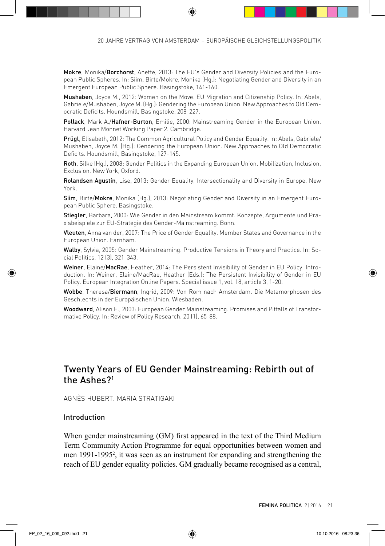Mokre, Monika/Borchorst, Anette, 2013: The EU's Gender and Diversity Policies and the European Public Spheres. In: Siim, Birte/Mokre, Monika (Hg.): Negotiating Gender and Diversity in an Emergent European Public Sphere. Basingstoke, 141-160.

Mushaben, Joyce M., 2012: Women on the Move. EU Migration and Citizenship Policy. In: Abels, Gabriele/Mushaben, Joyce M. (Hg.): Gendering the European Union. New Approaches to Old Democratic Deficits. Houndsmill, Basingstoke, 208-227.

Pollack, Mark A./Hafner-Burton, Emilie, 2000: Mainstreaming Gender in the European Union. Harvard Jean Monnet Working Paper 2. Cambridge.

Prügl, Elisabeth, 2012: The Common Agricultural Policy and Gender Equality. In: Abels, Gabriele/ Mushaben, Joyce M. (Hg.): Gendering the European Union. New Approaches to Old Democratic Deficits. Houndsmill, Basingstoke, 127-145.

Roth, Silke (Hg.), 2008: Gender Politics in the Expanding European Union. Mobilization, Inclusion, Exclusion. New York, Oxford.

Rolandsen Aqustín, Lise, 2013: Gender Equality, Intersectionality and Diversity in Europe. New York.

Siim, Birte/Mokre, Monika (Hg.), 2013: Negotiating Gender and Diversity in an Emergent European Public Sphere. Basingstoke.

Stiegler, Barbara, 2000: Wie Gender in den Mainstream kommt. Konzepte, Argumente und Praxisbeispiele zur EU-Strategie des Gender-Mainstreaming. Bonn.

Vleuten, Anna van der, 2007: The Price of Gender Equality. Member States and Governance in the European Union. Farnham.

Walby, Sylvia, 2005: Gender Mainstreaming. Productive Tensions in Theory and Practice. In: Social Politics. 12 (3), 321-343.

Weiner, Elaine/MacRae, Heather, 2014: The Persistent Invisibility of Gender in EU Policy. Introduction. In: Weiner, Elaine/MacRae, Heather (Eds.): The Persistent Invisibility of Gender in EU Policy. European Integration Online Papers. Special issue 1, vol. 18, article 3, 1-20.

Wobbe, Theresa/Biermann, Ingrid, 2009: Von Rom nach Amsterdam. Die Metamorphosen des Geschlechts in der Europäischen Union. Wiesbaden.

Woodward, Alison E., 2003: European Gender Mainstreaming. Promises and Pitfalls of Transformative Policy. In: Review of Policy Research. 20 (1), 65-88.

# Twenty Years of EU Gender Mainstreaming: Rebirth out of the Ashes?1

AGNÈS HUBERT. MARIA STRATIGAKI

### Introduction

When gender mainstreaming (GM) first appeared in the text of the Third Medium Term Community Action Programme for equal opportunities between women and men 1991-19952 , it was seen as an instrument for expanding and strengthening the reach of EU gender equality policies. GM gradually became recognised as a central,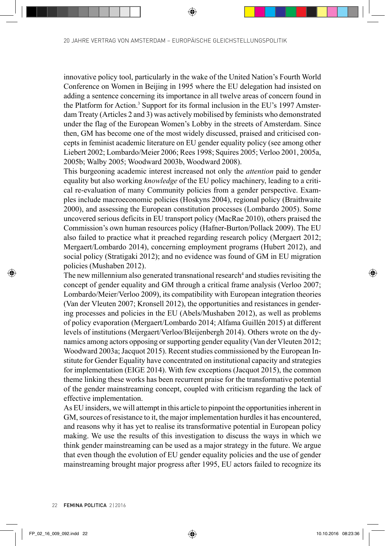innovative policy tool, particularly in the wake of the United Nation's Fourth World Conference on Women in Beijing in 1995 where the EU delegation had insisted on adding a sentence concerning its importance in all twelve areas of concern found in the Platform for Action.<sup>3</sup> Support for its formal inclusion in the EU's 1997 Amsterdam Treaty (Articles 2 and 3) was actively mobilised by feminists who demonstrated under the flag of the European Women's Lobby in the streets of Amsterdam. Since then, GM has become one of the most widely discussed, praised and criticised concepts in feminist academic literature on EU gender equality policy (see among other Liebert 2002; Lombardo/Meier 2006; Rees 1998; Squires 2005; Verloo 2001, 2005a, 2005b; Walby 2005; Woodward 2003b, Woodward 2008).

This burgeoning academic interest increased not only the *attention* paid to gender equality but also working *knowledge* of the EU policy machinery, leading to a critical re-evaluation of many Community policies from a gender perspective. Examples include macroeconomic policies (Hoskyns 2004), regional policy (Braithwaite 2000), and assessing the European constitution processes (Lombardo 2005). Some uncovered serious deficits in EU transport policy (MacRae 2010), others praised the Commission's own human resources policy (Hafner-Burton/Pollack 2009). The EU also failed to practice what it preached regarding research policy (Mergaert 2012; Mergaert/Lombardo 2014), concerning employment programs (Hubert 2012), and social policy (Stratigaki 2012); and no evidence was found of GM in EU migration policies (Mushaben 2012).

The new millennium also generated transnational research<sup>4</sup> and studies revisiting the concept of gender equality and GM through a critical frame analysis (Verloo 2007; Lombardo/Meier/Verloo 2009), its compatibility with European integration theories (Van der Vleuten 2007; Kronsell 2012), the opportunities and resistances in gendering processes and policies in the EU (Abels/Mushaben 2012), as well as problems of policy evaporation (Mergaert/Lombardo 2014; Alfama Guillén 2015) at different levels of institutions (Mergaert/Verloo/Bleijenbergh 2014). Others wrote on the dynamics among actors opposing or supporting gender equality (Van der Vleuten 2012; Woodward 2003a; Jacquot 2015). Recent studies commissioned by the European Institute for Gender Equality have concentrated on institutional capacity and strategies for implementation (EIGE 2014). With few exceptions (Jacquot 2015), the common theme linking these works has been recurrent praise for the transformative potential of the gender mainstreaming concept, coupled with criticism regarding the lack of effective implementation.

As EU insiders, we will attempt in this article to pinpoint the opportunities inherent in GM, sources of resistance to it, the major implementation hurdles it has encountered, and reasons why it has yet to realise its transformative potential in European policy making. We use the results of this investigation to discuss the ways in which we think gender mainstreaming can be used as a major strategy in the future. We argue that even though the evolution of EU gender equality policies and the use of gender mainstreaming brought major progress after 1995, EU actors failed to recognize its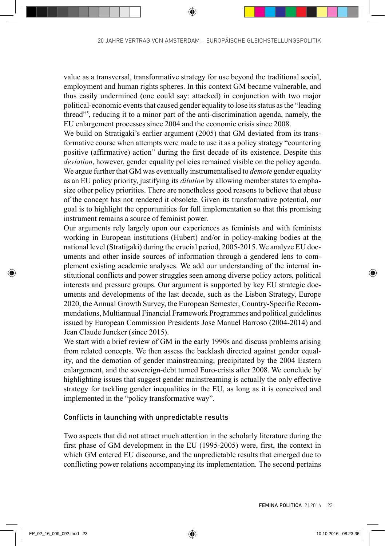value as a transversal, transformative strategy for use beyond the traditional social, employment and human rights spheres. In this context GM became vulnerable, and thus easily undermined (one could say: attacked) in conjunction with two major political-economic events that caused gender equality to lose its status as the "leading thread"5 , reducing it to a minor part of the anti-discrimination agenda, namely, the EU enlargement processes since 2004 and the economic crisis since 2008.

We build on Stratigaki's earlier argument (2005) that GM deviated from its transformative course when attempts were made to use it as a policy strategy "countering positive (affirmative) action" during the first decade of its existence. Despite this *deviation*, however, gender equality policies remained visible on the policy agenda. We argue further that GM was eventually instrumentalised to *demote* gender equality as an EU policy priority, justifying its *dilution* by allowing member states to emphasize other policy priorities. There are nonetheless good reasons to believe that abuse of the concept has not rendered it obsolete. Given its transformative potential, our goal is to highlight the opportunities for full implementation so that this promising instrument remains a source of feminist power.

Our arguments rely largely upon our experiences as feminists and with feminists working in European institutions (Hubert) and/or in policy-making bodies at the national level (Stratigaki) during the crucial period, 2005-2015. We analyze EU documents and other inside sources of information through a gendered lens to complement existing academic analyses. We add our understanding of the internal institutional conflicts and power struggles seen among diverse policy actors, political interests and pressure groups. Our argument is supported by key EU strategic documents and developments of the last decade, such as the Lisbon Strategy, Europe 2020, the Annual Growth Survey, the European Semester, Country-Specific Recommendations, Multiannual Financial Framework Programmes and political guidelines issued by European Commission Presidents Jose Manuel Barroso (2004-2014) and Jean Claude Juncker (since 2015).

We start with a brief review of GM in the early 1990s and discuss problems arising from related concepts. We then assess the backlash directed against gender equality, and the demotion of gender mainstreaming, precipitated by the 2004 Eastern enlargement, and the sovereign-debt turned Euro-crisis after 2008. We conclude by highlighting issues that suggest gender mainstreaming is actually the only effective strategy for tackling gender inequalities in the EU, as long as it is conceived and implemented in the "policy transformative way".

### Conflicts in launching with unpredictable results

Two aspects that did not attract much attention in the scholarly literature during the first phase of GM development in the EU (1995-2005) were, first, the context in which GM entered EU discourse, and the unpredictable results that emerged due to conflicting power relations accompanying its implementation. The second pertains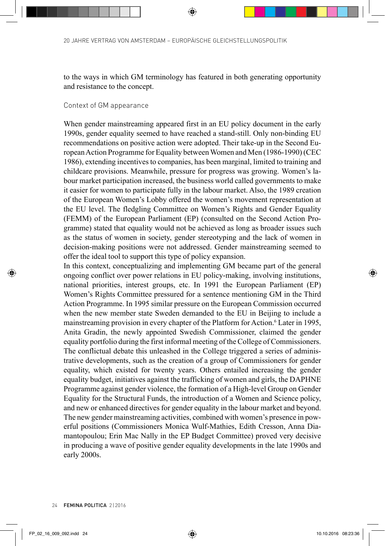to the ways in which GM terminology has featured in both generating opportunity and resistance to the concept.

#### Context of GM appearance

When gender mainstreaming appeared first in an EU policy document in the early 1990s, gender equality seemed to have reached a stand-still. Only non-binding EU recommendations on positive action were adopted. Their take-up in the Second European Action Programme for Equality between Women and Men (1986-1990) (CEC 1986), extending incentives to companies, has been marginal, limited to training and childcare provisions. Meanwhile, pressure for progress was growing. Women's labour market participation increased, the business world called governments to make it easier for women to participate fully in the labour market. Also, the 1989 creation of the European Women's Lobby offered the women's movement representation at the EU level. The fledgling Committee on Women's Rights and Gender Equality (FEMM) of the European Parliament (EP) (consulted on the Second Action Programme) stated that equality would not be achieved as long as broader issues such as the status of women in society, gender stereotyping and the lack of women in decision-making positions were not addressed. Gender mainstreaming seemed to offer the ideal tool to support this type of policy expansion.

In this context, conceptualizing and implementing GM became part of the general ongoing conflict over power relations in EU policy-making, involving institutions, national priorities, interest groups, etc. In 1991 the European Parliament (EP) Women's Rights Committee pressured for a sentence mentioning GM in the Third Action Programme. In 1995 similar pressure on the European Commission occurred when the new member state Sweden demanded to the EU in Beijing to include a mainstreaming provision in every chapter of the Platform for Action.6 Later in 1995, Anita Gradin, the newly appointed Swedish Commissioner, claimed the gender equality portfolio during the first informal meeting of the College of Commissioners. The conflictual debate this unleashed in the College triggered a series of administrative developments, such as the creation of a group of Commissioners for gender equality, which existed for twenty years. Others entailed increasing the gender equality budget, initiatives against the trafficking of women and girls, the DAPHNE Programme against gender violence, the formation of a High-level Group on Gender Equality for the Structural Funds, the introduction of a Women and Science policy, and new or enhanced directives for gender equality in the labour market and beyond. The new gender mainstreaming activities, combined with women's presence in powerful positions (Commissioners Monica Wulf-Mathies, Edith Cresson, Anna Diamantopoulou; Erin Mac Nally in the EP Budget Committee) proved very decisive in producing a wave of positive gender equality developments in the late 1990s and early 2000s.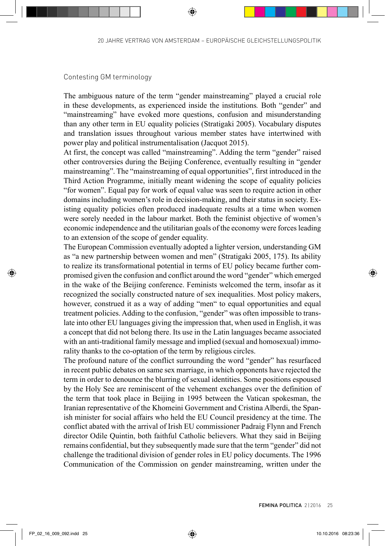#### Contesting GM terminology

The ambiguous nature of the term "gender mainstreaming" played a crucial role in these developments, as experienced inside the institutions*.* Both "gender" and "mainstreaming" have evoked more questions, confusion and misunderstanding than any other term in EU equality policies (Stratigaki 2005). Vocabulary disputes and translation issues throughout various member states have intertwined with power play and political instrumentalisation (Jacquot 2015).

At first, the concept was called "mainstreaming". Adding the term "gender" raised other controversies during the Beijing Conference, eventually resulting in "gender mainstreaming". The "mainstreaming of equal opportunities", first introduced in the Third Action Programme, initially meant widening the scope of equality policies "for women". Equal pay for work of equal value was seen to require action in other domains including women's role in decision-making, and their status in society. Existing equality policies often produced inadequate results at a time when women were sorely needed in the labour market. Both the feminist objective of women's economic independence and the utilitarian goals of the economy were forces leading to an extension of the scope of gender equality.

The European Commission eventually adopted a lighter version, understanding GM as "a new partnership between women and men" (Stratigaki 2005, 175). Its ability to realize its transformational potential in terms of EU policy became further compromised given the confusion and conflict around the word "gender" which emerged in the wake of the Beijing conference. Feminists welcomed the term, insofar as it recognized the socially constructed nature of sex inequalities. Most policy makers, however, construed it as a way of adding "men" to equal opportunities and equal treatment policies. Adding to the confusion, "gender" was often impossible to translate into other EU languages giving the impression that, when used in English, it was a concept that did not belong there. Its use in the Latin languages became associated with an anti-traditional family message and implied (sexual and homosexual) immorality thanks to the co-optation of the term by religious circles.

The profound nature of the conflict surrounding the word "gender" has resurfaced in recent public debates on same sex marriage, in which opponents have rejected the term in order to denounce the blurring of sexual identities. Some positions espoused by the Holy See are reminiscent of the vehement exchanges over the definition of the term that took place in Beijing in 1995 between the Vatican spokesman, the Iranian representative of the Khomeini Government and Cristina Alberdi, the Spanish minister for social affairs who held the EU Council presidency at the time. The conflict abated with the arrival of Irish EU commissioner Padraig Flynn and French director Odile Quintin, both faithful Catholic believers. What they said in Beijing remains confidential, but they subsequently made sure that the term "gender" did not challenge the traditional division of gender roles in EU policy documents. The 1996 Communication of the Commission on gender mainstreaming, written under the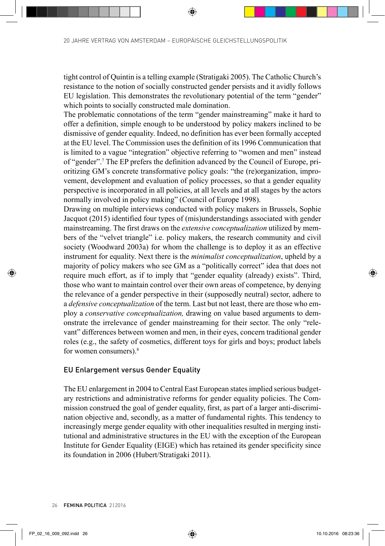tight control of Quintin is a telling example (Stratigaki 2005). The Catholic Church's resistance to the notion of socially constructed gender persists and it avidly follows EU legislation. This demonstrates the revolutionary potential of the term "gender" which points to socially constructed male domination.

The problematic connotations of the term "gender mainstreaming" make it hard to offer a definition, simple enough to be understood by policy makers inclined to be dismissive of gender equality. Indeed, no definition has ever been formally accepted at the EU level. The Commission uses the definition of its 1996 Communication that is limited to a vague "integration" objective referring to "women and men" instead of "gender".7 The EP prefers the definition advanced by the Council of Europe, prioritizing GM's concrete transformative policy goals: "the (re)organization, improvement, development and evaluation of policy processes, so that a gender equality perspective is incorporated in all policies, at all levels and at all stages by the actors normally involved in policy making" (Council of Europe 1998).

Drawing on multiple interviews conducted with policy makers in Brussels, Sophie Jacquot (2015) identified four types of (mis)understandings associated with gender mainstreaming. The first draws on the *extensive conceptualization* utilized by members of the "velvet triangle" i.e. policy makers, the research community and civil society (Woodward 2003a) for whom the challenge is to deploy it as an effective instrument for equality. Next there is the *minimalist conceptualization*, upheld by a majority of policy makers who see GM as a "politically correct" idea that does not require much effort, as if to imply that "gender equality (already) exists". Third, those who want to maintain control over their own areas of competence, by denying the relevance of a gender perspective in their (supposedly neutral) sector, adhere to a *defensive conceptualization* of the term. Last but not least, there are those who employ a *conservative conceptualization,* drawing on value based arguments to demonstrate the irrelevance of gender mainstreaming for their sector. The only "relevant" differences between women and men, in their eyes, concern traditional gender roles (e.g., the safety of cosmetics, different toys for girls and boys; product labels for women consumers).<sup>8</sup>

### EU Enlargement versus Gender Equality

The EU enlargement in 2004 to Central East European states implied serious budgetary restrictions and administrative reforms for gender equality policies. The Commission construed the goal of gender equality, first, as part of a larger anti-discrimination objective and, secondly, as a matter of fundamental rights. This tendency to increasingly merge gender equality with other inequalities resulted in merging institutional and administrative structures in the EU with the exception of the European Institute for Gender Equality (EIGE) which has retained its gender specificity since its foundation in 2006 (Hubert/Stratigaki 2011).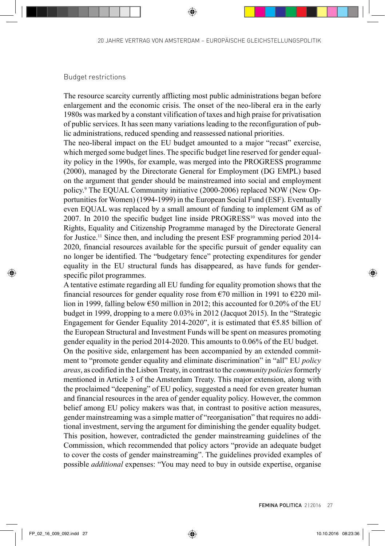### Budget restrictions

The resource scarcity currently afflicting most public administrations began before enlargement and the economic crisis. The onset of the neo-liberal era in the early 1980s was marked by a constant vilification of taxes and high praise for privatisation of public services. It has seen many variations leading to the reconfiguration of public administrations, reduced spending and reassessed national priorities.

The neo-liberal impact on the EU budget amounted to a major "recast" exercise, which merged some budget lines. The specific budget line reserved for gender equality policy in the 1990s, for example, was merged into the PROGRESS programme (2000), managed by the Directorate General for Employment (DG EMPL) based on the argument that gender should be mainstreamed into social and employment policy.9 The EQUAL Community initiative (2000-2006) replaced NOW (New Opportunities for Women) (1994-1999) in the European Social Fund (ESF). Eventually even EQUAL was replaced by a small amount of funding to implement GM as of 2007. In 2010 the specific budget line inside PROGRESS<sup>10</sup> was moved into the Rights, Equality and Citizenship Programme managed by the Directorate General for Justice.<sup>11</sup> Since then, and including the present ESF programming period 2014-2020, financial resources available for the specific pursuit of gender equality can no longer be identified. The "budgetary fence" protecting expenditures for gender equality in the EU structural funds has disappeared, as have funds for genderspecific pilot programmes.

A tentative estimate regarding all EU funding for equality promotion shows that the financial resources for gender equality rose from  $\epsilon$ 70 million in 1991 to  $\epsilon$ 220 million in 1999, falling below €50 million in 2012; this accounted for 0.20% of the EU budget in 1999, dropping to a mere 0.03% in 2012 (Jacquot 2015). In the "Strategic Engagement for Gender Equality 2014-2020", it is estimated that €5.85 billion of the European Structural and Investment Funds will be spent on measures promoting gender equality in the period 2014-2020. This amounts to 0.06% of the EU budget. On the positive side, enlargement has been accompanied by an extended commitment to "promote gender equality and eliminate discrimination" in "all" EU *policy areas*, as codified in the Lisbon Treaty, in contrast to the *community policies* formerly mentioned in Article 3 of the Amsterdam Treaty. This major extension, along with the proclaimed "deepening" of EU policy, suggested a need for even greater human and financial resources in the area of gender equality policy. However, the common belief among EU policy makers was that, in contrast to positive action measures, gender mainstreaming was a simple matter of "reorganisation" that requires no additional investment, serving the argument for diminishing the gender equality budget. This position, however, contradicted the gender mainstreaming guidelines of the Commission, which recommended that policy actors "provide an adequate budget to cover the costs of gender mainstreaming". The guidelines provided examples of possible *additional* expenses: "You may need to buy in outside expertise, organise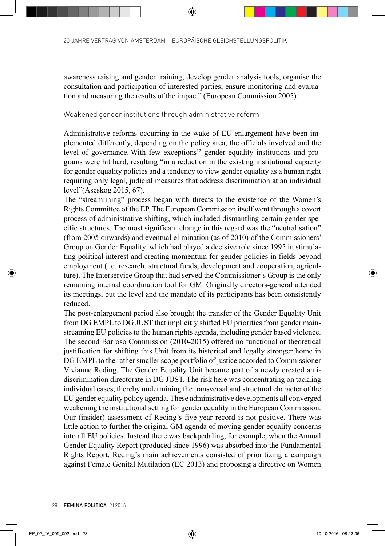awareness raising and gender training, develop gender analysis tools, organise the consultation and participation of interested parties, ensure monitoring and evaluation and measuring the results of the impact" (European Commission 2005).

Weakened gender institutions through administrative reform

Administrative reforms occurring in the wake of EU enlargement have been implemented differently, depending on the policy area, the officials involved and the level of governance. With few exceptions<sup>12</sup> gender equality institutions and programs were hit hard, resulting "in a reduction in the existing institutional capacity for gender equality policies and a tendency to view gender equality as a human right requiring only legal, judicial measures that address discrimination at an individual level"(Aseskog 2015, 67).

The "streamlining" process began with threats to the existence of the Women's Rights Committee of the EP. The European Commission itself went through a covert process of administrative shifting, which included dismantling certain gender-specific structures. The most significant change in this regard was the "neutralisation" (from 2005 onwards) and eventual elimination (as of 2010) of the Commissioners' Group on Gender Equality, which had played a decisive role since 1995 in stimulating political interest and creating momentum for gender policies in fields beyond employment (i.e. research, structural funds, development and cooperation, agriculture). The Interservice Group that had served the Commissioner's Group is the only remaining internal coordination tool for GM. Originally directors-general attended its meetings, but the level and the mandate of its participants has been consistently reduced.

The post-enlargement period also brought the transfer of the Gender Equality Unit from DG EMPL to DG JUST that implicitly shifted EU priorities from gender mainstreaming EU policies to the human rights agenda, including gender based violence. The second Barroso Commission (2010-2015) offered no functional or theoretical justification for shifting this Unit from its historical and legally stronger home in DG EMPL to the rather smaller scope portfolio of justice accorded to Commissioner Vivianne Reding. The Gender Equality Unit became part of a newly created antidiscrimination directorate in DG JUST. The risk here was concentrating on tackling individual cases, thereby undermining the transversal and structural character of the EU gender equality policy agenda. These administrative developments all converged weakening the institutional setting for gender equality in the European Commission. Our (insider) assessment of Reding's five-year record is not positive. There was little action to further the original GM agenda of moving gender equality concerns into all EU policies. Instead there was backpedaling, for example, when the Annual Gender Equality Report (produced since 1996) was absorbed into the Fundamental Rights Report. Reding's main achievements consisted of prioritizing a campaign against Female Genital Mutilation (EC 2013) and proposing a directive on Women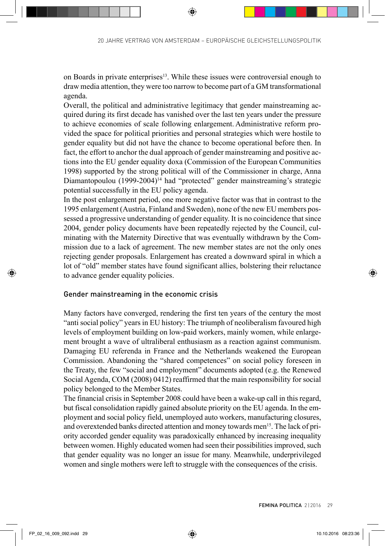on Boards in private enterprises<sup>13</sup>. While these issues were controversial enough to draw media attention, they were too narrow to become part of a GM transformational agenda.

Overall, the political and administrative legitimacy that gender mainstreaming acquired during its first decade has vanished over the last ten years under the pressure to achieve economies of scale following enlargement. Administrative reform provided the space for political priorities and personal strategies which were hostile to gender equality but did not have the chance to become operational before then. In fact, the effort to anchor the dual approach of gender mainstreaming and positive actions into the EU gender equality doxa (Commission of the European Communities 1998) supported by the strong political will of the Commissioner in charge, Anna Diamantopoulou (1999-2004)<sup>14</sup> had "protected" gender mainstreaming's strategic potential successfully in the EU policy agenda.

In the post enlargement period, one more negative factor was that in contrast to the 1995 enlargement (Austria, Finland and Sweden), none of the new EU members possessed a progressive understanding of gender equality. It is no coincidence that since 2004, gender policy documents have been repeatedly rejected by the Council, culminating with the Maternity Directive that was eventually withdrawn by the Commission due to a lack of agreement. The new member states are not the only ones rejecting gender proposals. Enlargement has created a downward spiral in which a lot of "old" member states have found significant allies, bolstering their reluctance to advance gender equality policies.

### Gender mainstreaming in the economic crisis

Many factors have converged, rendering the first ten years of the century the most "anti social policy" years in EU history: The triumph of neoliberalism favoured high levels of employment building on low-paid workers, mainly women, while enlargement brought a wave of ultraliberal enthusiasm as a reaction against communism. Damaging EU referenda in France and the Netherlands weakened the European Commission. Abandoning the "shared competences" on social policy foreseen in the Treaty, the few "social and employment" documents adopted (e.g. the Renewed Social Agenda, COM (2008) 0412) reaffirmed that the main responsibility for social policy belonged to the Member States.

The financial crisis in September 2008 could have been a wake-up call in this regard, but fiscal consolidation rapidly gained absolute priority on the EU agenda. In the employment and social policy field, unemployed auto workers, manufacturing closures, and overextended banks directed attention and money towards men<sup>15</sup>. The lack of priority accorded gender equality was paradoxically enhanced by increasing inequality between women. Highly educated women had seen their possibilities improved, such that gender equality was no longer an issue for many. Meanwhile, underprivileged women and single mothers were left to struggle with the consequences of the crisis.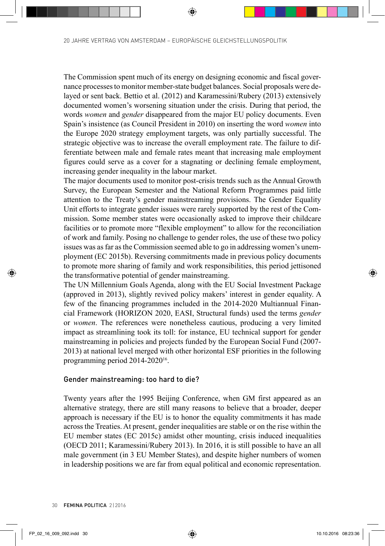The Commission spent much of its energy on designing economic and fiscal governance processes to monitor member-state budget balances. Social proposals were delayed or sent back. Bettio et al. (2012) and Karamessini/Rubery (2013) extensively documented women's worsening situation under the crisis. During that period, the words *women* and *gender* disappeared from the major EU policy documents. Even Spain's insistence (as Council President in 2010) on inserting the word *women* into the Europe 2020 strategy employment targets, was only partially successful. The strategic objective was to increase the overall employment rate. The failure to differentiate between male and female rates meant that increasing male employment figures could serve as a cover for a stagnating or declining female employment, increasing gender inequality in the labour market.

The major documents used to monitor post-crisis trends such as the Annual Growth Survey, the European Semester and the National Reform Programmes paid little attention to the Treaty's gender mainstreaming provisions. The Gender Equality Unit efforts to integrate gender issues were rarely supported by the rest of the Commission. Some member states were occasionally asked to improve their childcare facilities or to promote more "flexible employment" to allow for the reconciliation of work and family. Posing no challenge to gender roles, the use of these two policy issues was as far as the Commission seemed able to go in addressing women's unemployment (EC 2015b). Reversing commitments made in previous policy documents to promote more sharing of family and work responsibilities, this period jettisoned the transformative potential of gender mainstreaming.

The UN Millennium Goals Agenda, along with the EU Social Investment Package (approved in 2013), slightly revived policy makers' interest in gender equality. A few of the financing programmes included in the 2014-2020 Multiannual Financial Framework (HORIZON 2020, EASI, Structural funds) used the terms *gender* or *women*. The references were nonetheless cautious, producing a very limited impact as streamlining took its toll: for instance, EU technical support for gender mainstreaming in policies and projects funded by the European Social Fund (2007- 2013) at national level merged with other horizontal ESF priorities in the following programming period 2014-2020<sup>16</sup>.

### Gender mainstreaming: too hard to die?

Twenty years after the 1995 Beijing Conference, when GM first appeared as an alternative strategy, there are still many reasons to believe that a broader, deeper approach is necessary if the EU is to honor the equality commitments it has made across the Treaties. At present, gender inequalities are stable or on the rise within the EU member states (EC 2015c) amidst other mounting, crisis induced inequalities (OECD 2011; Karamessini/Rubery 2013). In 2016, it is still possible to have an all male government (in 3 EU Member States), and despite higher numbers of women in leadership positions we are far from equal political and economic representation.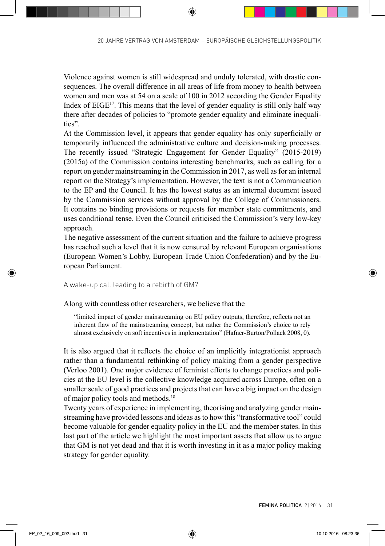Violence against women is still widespread and unduly tolerated, with drastic consequences. The overall difference in all areas of life from money to health between women and men was at 54 on a scale of 100 in 2012 according the Gender Equality Index of  $EIGE<sup>17</sup>$ . This means that the level of gender equality is still only half way there after decades of policies to "promote gender equality and eliminate inequalities".

At the Commission level, it appears that gender equality has only superficially or temporarily influenced the administrative culture and decision-making processes. The recently issued "Strategic Engagement for Gender Equality" (2015-2019) (2015a) of the Commission contains interesting benchmarks, such as calling for a report on gender mainstreaming in the Commission in 2017, as well as for an internal report on the Strategy's implementation. However, the text is not a Communication to the EP and the Council. It has the lowest status as an internal document issued by the Commission services without approval by the College of Commissioners. It contains no binding provisions or requests for member state commitments, and uses conditional tense. Even the Council criticised the Commission's very low-key approach.

The negative assessment of the current situation and the failure to achieve progress has reached such a level that it is now censured by relevant European organisations (European Women's Lobby, European Trade Union Confederation) and by the European Parliament.

A wake-up call leading to a rebirth of GM?

Along with countless other researchers, we believe that the

"limited impact of gender mainstreaming on EU policy outputs, therefore, reflects not an inherent flaw of the mainstreaming concept, but rather the Commission's choice to rely almost exclusively on soft incentives in implementation" (Hafner-Burton/Pollack 2008, 0).

It is also argued that it reflects the choice of an implicitly integrationist approach rather than a fundamental rethinking of policy making from a gender perspective (Verloo 2001). One major evidence of feminist efforts to change practices and policies at the EU level is the collective knowledge acquired across Europe, often on a smaller scale of good practices and projects that can have a big impact on the design of major policy tools and methods.18

Twenty years of experience in implementing, theorising and analyzing gender mainstreaming have provided lessons and ideas as to how this "transformative tool" could become valuable for gender equality policy in the EU and the member states. In this last part of the article we highlight the most important assets that allow us to argue that GM is not yet dead and that it is worth investing in it as a major policy making strategy for gender equality.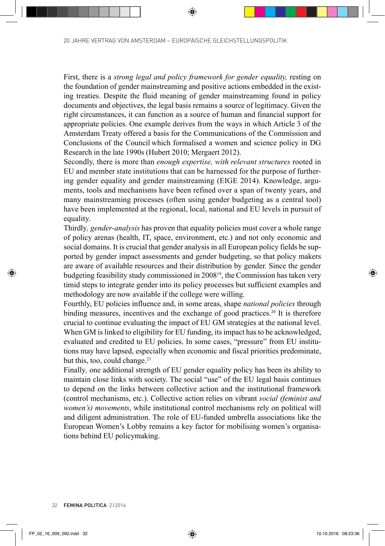First, there is a *strong legal and policy framework for gender equality,* resting on the foundation of gender mainstreaming and positive actions embedded in the existing treaties. Despite the fluid meaning of gender mainstreaming found in policy documents and objectives, the legal basis remains a source of legitimacy. Given the right circumstances, it can function as a source of human and financial support for appropriate policies. One example derives from the ways in which Article 3 of the Amsterdam Treaty offered a basis for the Communications of the Commission and Conclusions of the Council which formalised a women and science policy in DG Research in the late 1990s (Hubert 2010; Mergaert 2012).

Secondly, there is more than *enough expertise, with relevant structures* rooted in EU and member state institutions that can be harnessed for the purpose of furthering gender equality and gender mainstreaming (EIGE 2014). Knowledge, arguments, tools and mechanisms have been refined over a span of twenty years, and many mainstreaming processes (often using gender budgeting as a central tool) have been implemented at the regional, local, national and EU levels in pursuit of equality.

Thirdly*, gender-analysis* has proven that equality policies must cover a whole range of policy arenas (health, IT, space, environment, etc.) and not only economic and social domains. It is crucial that gender analysis in all European policy fields be supported by gender impact assessments and gender budgeting, so that policy makers are aware of available resources and their distribution by gender. Since the gender budgeting feasibility study commissioned in 200819, the Commission has taken very timid steps to integrate gender into its policy processes but sufficient examples and methodology are now available if the college were willing.

Fourthly, EU policies influence and, in some areas, shape *national policies* through binding measures, incentives and the exchange of good practices.<sup>20</sup> It is therefore crucial to continue evaluating the impact of EU GM strategies at the national level. When GM is linked to eligibility for EU funding, its impact has to be acknowledged, evaluated and credited to EU policies. In some cases, "pressure" from EU institutions may have lapsed, especially when economic and fiscal priorities predominate, but this, too, could change. $21$ 

Finally*,* one additional strength of EU gender equality policy has been its ability to maintain close links with society. The social "use" of the EU legal basis continues to depend on the links between collective action and the institutional framework (control mechanisms, etc.). Collective action relies on vibrant *social (feminist and women's) movements*, while institutional control mechanisms rely on political will and diligent administration. The role of EU-funded umbrella associations like the European Women's Lobby remains a key factor for mobilising women's organisations behind EU policymaking.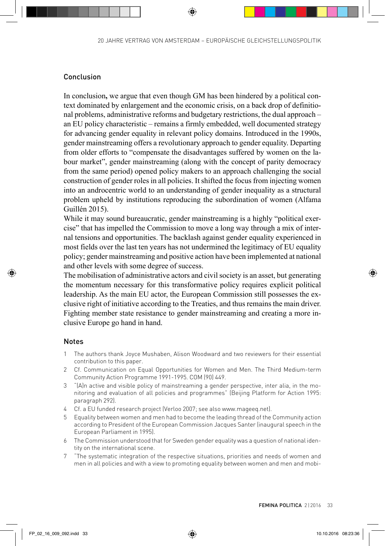## Conclusion

In conclusion**,** we argue that even though GM has been hindered by a political context dominated by enlargement and the economic crisis, on a back drop of definitional problems, administrative reforms and budgetary restrictions, the dual approach – an EU policy characteristic – remains a firmly embedded, well documented strategy for advancing gender equality in relevant policy domains. Introduced in the 1990s, gender mainstreaming offers a revolutionary approach to gender equality. Departing from older efforts to "compensate the disadvantages suffered by women on the labour market", gender mainstreaming (along with the concept of parity democracy from the same period) opened policy makers to an approach challenging the social construction of gender roles in all policies. It shifted the focus from injecting women into an androcentric world to an understanding of gender inequality as a structural problem upheld by institutions reproducing the subordination of women (Alfama Guillén 2015).

While it may sound bureaucratic, gender mainstreaming is a highly "political exercise" that has impelled the Commission to move a long way through a mix of internal tensions and opportunities. The backlash against gender equality experienced in most fields over the last ten years has not undermined the legitimacy of EU equality policy; gender mainstreaming and positive action have been implemented at national and other levels with some degree of success.

The mobilisation of administrative actors and civil society is an asset, but generating the momentum necessary for this transformative policy requires explicit political leadership. As the main EU actor, the European Commission still possesses the exclusive right of initiative according to the Treaties, and thus remains the main driver. Fighting member state resistance to gender mainstreaming and creating a more inclusive Europe go hand in hand.

### Notes

- 1 The authors thank Joyce Mushaben, Alison Woodward and two reviewers for their essential contribution to this paper.
- 2 Cf. Communication on Equal Opportunities for Women and Men. The Third Medium-term Community Action Programme 1991-1995. COM (90) 449.
- 3 "(A)n active and visible policy of mainstreaming a gender perspective, inter alia, in the monitoring and evaluation of all policies and programmes" (Beijing Platform for Action 1995: paragraph 292).
- 4 Cf. a EU funded research project (Verloo 2007; see also [www.mageeq.net\).](http://www.mageeq.net)
- 5 Equality between women and men had to become the leading thread of the Community action according to President of the European Commission Jacques Santer (inaugural speech in the European Parliament in 1995).
- 6 The Commission understood that for Sweden gender equality was a question of national identity on the international scene.
- 7 "The systematic integration of the respective situations, priorities and needs of women and men in all policies and with a view to promoting equality between women and men and mobi-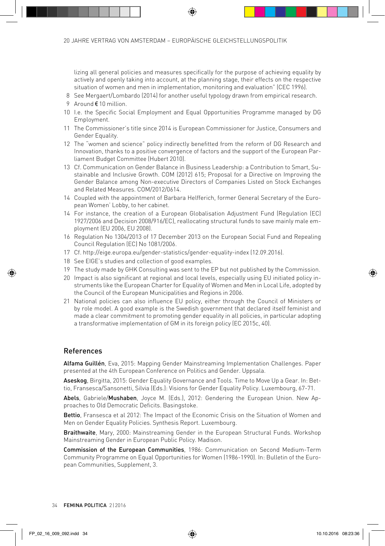lizing all general policies and measures specifically for the purpose of achieving equality by actively and openly taking into account, at the planning stage, their effects on the respective situation of women and men in implementation, monitoring and evaluation" (CEC 1996).

- 8 See Mergaert/Lombardo (2014) for another useful typology drawn from empirical research.
- 9 Around € 10 million.
- 10 I.e. the Specific Social Employment and Equal Opportunities Programme managed by DG Employment.
- 11 The Commissioner's title since 2014 is European Commissioner for Justice, Consumers and Gender Equality.
- 12 The "women and science" policy indirectly benefitted from the reform of DG Research and Innovation, thanks to a positive convergence of factors and the support of the European Parliament Budget Committee (Hubert 2010).
- 13 Cf. Communication on Gender Balance in Business Leadership: a Contribution to Smart, Sustainable and Inclusive Growth. COM (2012) 615; Proposal for a Directive on Improving the Gender Balance among Non-executive Directors of Companies Listed on Stock Exchanges and Related Measures. COM/2012/0614.
- 14 Coupled with the appointment of Barbara Helfferich, former General Secretary of the European Women' Lobby, to her cabinet.
- 14 For instance, the creation of a European Globalisation Adjustment Fund (Regulation (EC) 1927/2006 and Decision 2008/916/EC), reallocating structural funds to save mainly male employment (EU 2006, EU 2008).
- 16 Regulation No 1304/2013 of 17 December 2013 on the European Social Fund and Repealing Council Regulation (EC) No 1081/2006.
- 17 Cf. [http://eige.europa.eu/gender-statistics/gender-equality-index \(1](http://eige.europa.eu/gender-statistics/gender-equality-index)2.09.2016).
- 18 See EIGE's studies and collection of good examples.
- 19 The study made by GHK Consulting was sent to the EP but not published by the Commission.
- 20 Impact is also significant at regional and local levels, especially using EU initiated policy instruments like the European Charter for Equality of Women and Men in Local Life, adopted by the Council of the European Municipalities and Regions in 2006.
- 21 National policies can also influence EU policy, either through the Council of Ministers or by role model. A good example is the Swedish government that declared itself feminist and made a clear commitment to promoting gender equality in all policies, in particular adopting a transformative implementation of GM in its foreign policy (EC 2015c, 40).

#### References

Alfama Guillén, Eva, 2015: Mapping Gender Mainstreaming Implementation Challenges. Paper presented at the 4th European Conference on Politics and Gender. Uppsala.

Aseskog, Birgitta, 2015: Gender Equality Governance and Tools. Time to Move Up a Gear. In: Bettio, Fransesca/Sansonetti, Silvia (Eds.): Visions for Gender Equality Policy. Luxembourg, 67-71.

Abels, Gabriele/Mushaben, Joyce M. (Eds.), 2012: Gendering the European Union. New Approaches to Old Democratic Deficits. Basingstoke.

Bettio, Fransesca et al 2012: The Impact of the Economic Crisis on the Situation of Women and Men on Gender Equality Policies. Synthesis Report. Luxembourg.

Braithwaite, Mary, 2000: Mainstreaming Gender in the European Structural Funds. Workshop Mainstreaming Gender in European Public Policy. Madison.

Commission of the European Communities, 1986: Communication on Second Medium-Term Community Programme on Equal Opportunities for Women (1986-1990). In: Bulletin of the European Communities, Supplement, 3.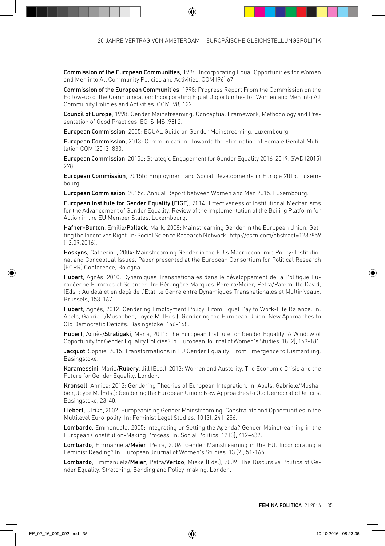Commission of the European Communities, 1996: Incorporating Equal Opportunities for Women and Men into All Community Policies and Activities. COM (96) 67.

Commission of the European Communities, 1998: Progress Report From the Commission on the Follow-up of the Communication: Incorporating Equal Opportunities for Women and Men into All Community Policies and Activities. COM (98) 122.

Council of Europe, 1998: Gender Mainstreaming: Conceptual Framework, Methodology and Presentation of Good Practices. EG-S-MS (98) 2.

European Commission, 2005: EQUAL Guide on Gender Mainstreaming. Luxembourg.

European Commission, 2013: Communication: Towards the Elimination of Female Genital Mutilation COM (2013) 833.

European Commission, 2015a: Strategic Engagement for Gender Equality 2016-2019. SWD (2015) 278.

European Commission, 2015b: Employment and Social Developments in Europe 2015. Luxembourg.

European Commission, 2015c: Annual Report between Women and Men 2015. Luxembourg.

European Institute for Gender Equality (EIGE), 2014: Effectiveness of Institutional Mechanisms for the Advancement of Gender Equality. Review of the Implementation of the Beijing Platform for Action in the EU Member States. Luxembourg.

Hafner-Burton, Emilie/Pollack, Mark, 2008: Mainstreaming Gender in the European Union. Getting the Incentives Right. In: Social Science Research Network. <http://ssrn.com/abstract=1287859> (12.09.2016).

Hoskyns, Catherine, 2004: Mainstreaming Gender in the EU's Macroeconomic Policy: Institutional and Conceptual Issues. Paper presented at the European Consortium for Political Research (ECPR) Conference, Bologna.

Hubert, Agnès, 2010: Dynamiques Transnationales dans le développement de la Politique Européenne Femmes et Sciences. In: Bérengère Marques-Pereira/Meier, Petra/Paternotte David, (Eds.): Au delà et en deçà de l'Etat, le Genre entre Dynamiques Transnationales et Multiniveaux. Brussels, 153-167.

Hubert, Agnès, 2012: Gendering Employment Policy. From Equal Pay to Work-Life Balance. In: Abels, Gabriele/Mushaben, Joyce M. (Eds.): Gendering the European Union: New Approaches to Old Democratic Deficits. Basingstoke, 146-168.

Hubert, Agnès/Stratigaki, Maria, 2011: The European Institute for Gender Equality. A Window of Opportunity for Gender Equality Policies? In: European Journal of Women's Studies. 18 (2), 169-181.

Jacquot, Sophie, 2015: Transformations in EU Gender Equality. From Emergence to Dismantling. Basingstoke.

Karamessini, Maria/Rubery, Jill (Eds.), 2013: Women and Austerity. The Economic Crisis and the Future for Gender Equality. London.

Kronsell, Annica: 2012: Gendering Theories of European Integration. In: Abels, Gabriele/Mushaben, Joyce M. (Eds.): Gendering the European Union: New Approaches to Old Democratic Deficits. Basingstoke, 23-40.

Liebert, Ulrike, 2002: Europeanising Gender Mainstreaming. Constraints and Opportunities in the Multilevel Euro-polity. In: Feminist Legal Studies. 10 (3), 241-256.

Lombardo, Emmanuela, 2005: Integrating or Setting the Agenda? Gender Mainstreaming in the European Constitution-Making Process. In: Social Politics. 12 (3), 412–432.

Lombardo, Emmanuela/Meier, Petra, 2006: Gender Mainstreaming in the EU. Incorporating a Feminist Reading? In: European Journal of Women's Studies. 13 (2), 51-166.

Lombardo, Emmanuela/Meier, Petra/Verloo, Mieke (Eds.), 2009: The Discursive Politics of Gender Equality. Stretching, Bending and Policy-making. London.